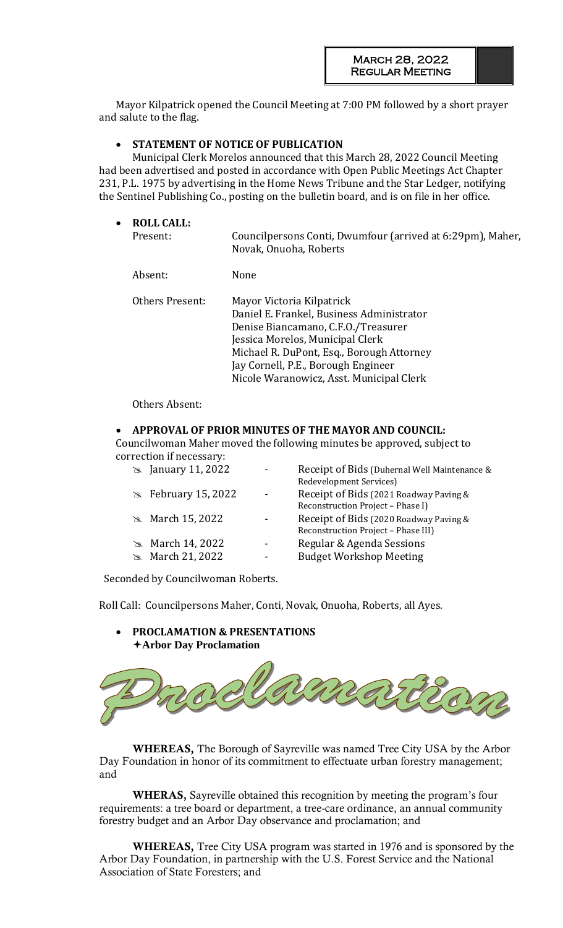Mayor Kilpatrick opened the Council Meeting at 7:00 PM followed by a short prayer and salute to the flag.

## • **STATEMENT OF NOTICE OF PUBLICATION**

Municipal Clerk Morelos announced that this March 28, 2022 Council Meeting had been advertised and posted in accordance with Open Public Meetings Act Chapter 231, P.L. 1975 by advertising in the Home News Tribune and the Star Ledger, notifying the Sentinel Publishing Co., posting on the bulletin board, and is on file in her office.

| $\bullet$ | <b>ROLL CALL:</b><br>Present: | Councilpersons Conti, Dwumfour (arrived at 6:29pm), Maher,<br>Novak, Onuoha, Roberts                                                                                                                                                                                              |
|-----------|-------------------------------|-----------------------------------------------------------------------------------------------------------------------------------------------------------------------------------------------------------------------------------------------------------------------------------|
|           | Absent:                       | None                                                                                                                                                                                                                                                                              |
|           | Others Present:               | Mayor Victoria Kilpatrick<br>Daniel E. Frankel, Business Administrator<br>Denise Biancamano, C.F.O./Treasurer<br>Jessica Morelos, Municipal Clerk<br>Michael R. DuPont, Esq., Borough Attorney<br>Jay Cornell, P.E., Borough Engineer<br>Nicole Waranowicz, Asst. Municipal Clerk |

#### Others Absent:

#### • **APPROVAL OF PRIOR MINUTES OF THE MAYOR AND COUNCIL:**

Councilwoman Maher moved the following minutes be approved, subject to correction if necessary:

| $\approx$ January 11, 2022  | Receipt of Bids (Duhernal Well Maintenance &<br>Redevelopment Services) |
|-----------------------------|-------------------------------------------------------------------------|
| $\approx$ February 15, 2022 | Receipt of Bids (2021 Roadway Paving &                                  |
|                             | Reconstruction Project - Phase I)                                       |
| $\approx$ March 15, 2022    | Receipt of Bids (2020 Roadway Paving &                                  |
|                             | Reconstruction Project - Phase III)                                     |
| $\approx$ March 14, 2022    | Regular & Agenda Sessions                                               |
| $\approx$ March 21, 2022    | <b>Budget Workshop Meeting</b>                                          |
|                             |                                                                         |

Seconded by Councilwoman Roberts.

• **PROCLAMATION & PRESENTATIONS** 

Roll Call: Councilpersons Maher, Conti, Novak, Onuoha, Roberts, all Ayes.



**WHEREAS,** The Borough of Sayreville was named Tree City USA by the Arbor Day Foundation in honor of its commitment to effectuate urban forestry management; and

**WHERAS,** Sayreville obtained this recognition by meeting the program's four requirements: a tree board or department, a tree-care ordinance, an annual community forestry budget and an Arbor Day observance and proclamation; and

**WHEREAS,** Tree City USA program was started in 1976 and is sponsored by the Arbor Day Foundation, in partnership with the U.S. Forest Service and the National Association of State Foresters; and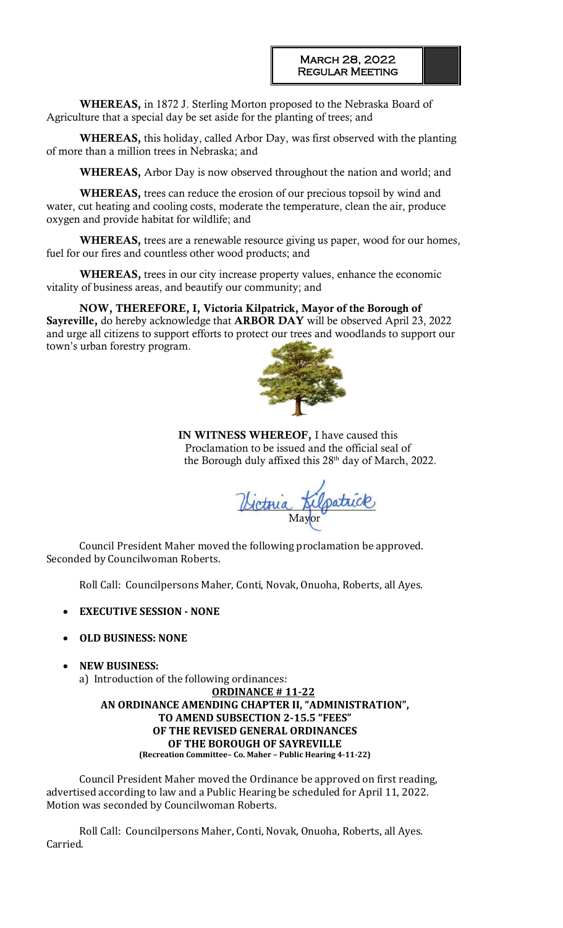**WHEREAS,** in 1872 J. Sterling Morton proposed to the Nebraska Board of Agriculture that a special day be set aside for the planting of trees; and

**WHEREAS,** this holiday, called Arbor Day, was first observed with the planting of more than a million trees in Nebraska; and

**WHEREAS,** Arbor Day is now observed throughout the nation and world; and

**WHEREAS,** trees can reduce the erosion of our precious topsoil by wind and water, cut heating and cooling costs, moderate the temperature, clean the air, produce oxygen and provide habitat for wildlife; and

**WHEREAS,** trees are a renewable resource giving us paper, wood for our homes, fuel for our fires and countless other wood products; and

**WHEREAS,** trees in our city increase property values, enhance the economic vitality of business areas, and beautify our community; and

**NOW, THEREFORE, I, Victoria Kilpatrick, Mayor of the Borough of Sayreville,** do hereby acknowledge that **ARBOR DAY** will be observed April 23, 2022 and urge all citizens to support efforts to prot[ect our trees and wo](https://www.google.com/url?sa=i&rct=j&q=&esrc=s&source=images&cd=&cad=rja&uact=8&ved=2ahUKEwjc3dbUp6jZAhUChOAKHS4OCEoQjRx6BAgAEAY&url=https://www.warpaths2peacepipes.com/native-american-culture/meaning-of-trees.htm&psig=AOvVaw0OGIXpFDQC5Zo42e-52_4a&ust=1518797473002212)odlands to support our town's urban forestry program.



**IN WITNESS WHEREOF,** I have caused this Proclamation to be issued and the official seal of the Borough duly affixed this 28<sup>th</sup> day of March, 2022.

Gotovia Augustice **Mayor** 

Council President Maher moved the following proclamation be approved. Seconded by Councilwoman Roberts.

Roll Call: Councilpersons Maher, Conti, Novak, Onuoha, Roberts, all Ayes.

• **EXECUTIVE SESSION - NONE**

#### • **OLD BUSINESS: NONE**

• **NEW BUSINESS:** 

a) Introduction of the following ordinances:

**ORDINANCE # 11-22 AN ORDINANCE AMENDING CHAPTER II, "ADMINISTRATION", TO AMEND SUBSECTION 2-15.5 "FEES" OF THE REVISED GENERAL ORDINANCES OF THE BOROUGH OF SAYREVILLE (Recreation Committee– Co. Maher – Public Hearing 4-11-22)**

Council President Maher moved the Ordinance be approved on first reading, advertised according to law and a Public Hearing be scheduled for April 11, 2022. Motion was seconded by Councilwoman Roberts.

Roll Call: Councilpersons Maher, Conti, Novak, Onuoha, Roberts, all Ayes. Carried.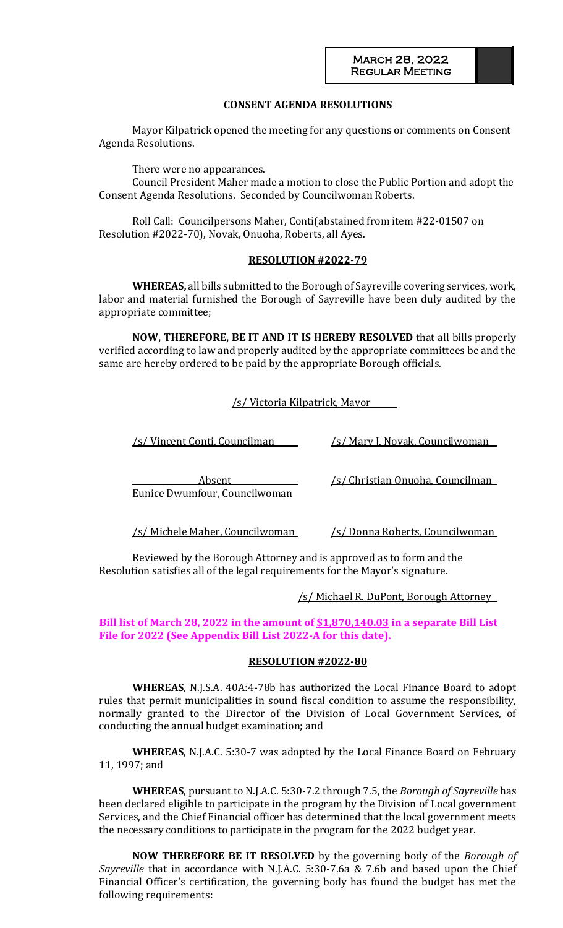## **CONSENT AGENDA RESOLUTIONS**

Mayor Kilpatrick opened the meeting for any questions or comments on Consent Agenda Resolutions.

There were no appearances.

Council President Maher made a motion to close the Public Portion and adopt the Consent Agenda Resolutions. Seconded by Councilwoman Roberts.

Roll Call: Councilpersons Maher, Conti(abstained from item #22-01507 on Resolution #2022-70), Novak, Onuoha, Roberts, all Ayes.

#### **RESOLUTION #2022-79**

**WHEREAS,** all bills submitted to the Borough of Sayreville covering services, work, labor and material furnished the Borough of Sayreville have been duly audited by the appropriate committee;

**NOW, THEREFORE, BE IT AND IT IS HEREBY RESOLVED** that all bills properly verified according to law and properly audited by the appropriate committees be and the same are hereby ordered to be paid by the appropriate Borough officials.

/s/ Victoria Kilpatrick, Mayor

/s/ Vincent Conti, Councilman /s/ Mary J. Novak, Councilwoman

Eunice Dwumfour, Councilwoman

Absent /s/ Christian Onuoha, Councilman

/s/ Michele Maher, Councilwoman /s/ Donna Roberts, Councilwoman

Reviewed by the Borough Attorney and is approved as to form and the Resolution satisfies all of the legal requirements for the Mayor's signature.

/s/ Michael R. DuPont, Borough Attorney

**Bill list of March 28, 2022 in the amount of \$1,870,140.03 in a separate Bill List File for 2022 (See Appendix Bill List 2022-A for this date).**

#### **RESOLUTION #2022-80**

**WHEREAS**, N.J.S.A. 40A:4-78b has authorized the Local Finance Board to adopt rules that permit municipalities in sound fiscal condition to assume the responsibility, normally granted to the Director of the Division of Local Government Services, of conducting the annual budget examination; and

**WHEREAS**, N.J.A.C. 5:30-7 was adopted by the Local Finance Board on February 11, 1997; and

**WHEREAS**, pursuant to N.J.A.C. 5:30-7.2 through 7.5, the *Borough of Sayreville* has been declared eligible to participate in the program by the Division of Local government Services, and the Chief Financial officer has determined that the local government meets the necessary conditions to participate in the program for the 2022 budget year.

**NOW THEREFORE BE IT RESOLVED** by the governing body of the *Borough of Sayreville* that in accordance with N.J.A.C. 5:30-7.6a & 7.6b and based upon the Chief Financial Officer's certification, the governing body has found the budget has met the following requirements: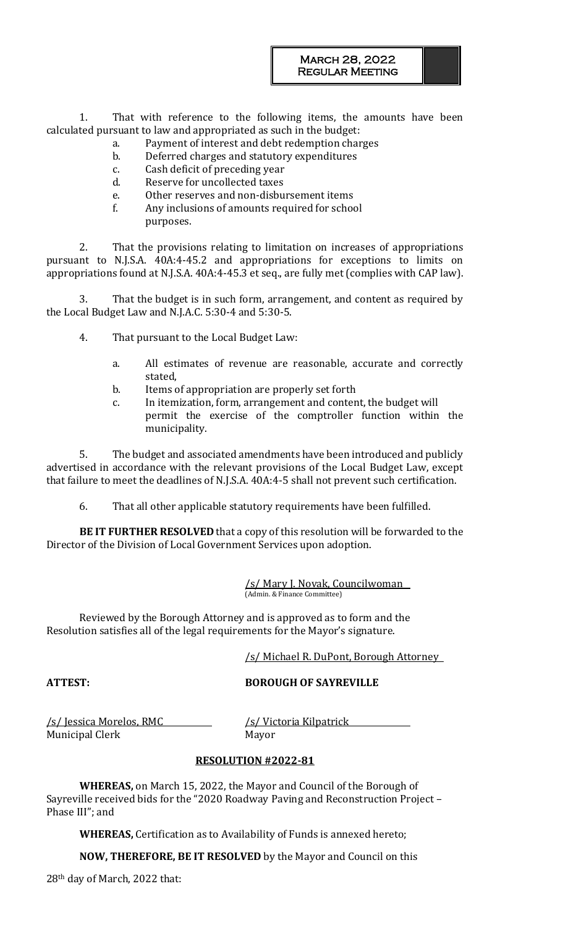1. That with reference to the following items, the amounts have been calculated pursuant to law and appropriated as such in the budget:

- a. Payment of interest and debt redemption charges
	- b. Deferred charges and statutory expenditures
	- c. Cash deficit of preceding year
	- d. Reserve for uncollected taxes
	- e. Other reserves and non-disbursement items
	- f. Any inclusions of amounts required for school purposes.

2. That the provisions relating to limitation on increases of appropriations pursuant to N.J.S.A. 40A:4-45.2 and appropriations for exceptions to limits on appropriations found at N.J.S.A. 40A:4-45.3 et seq., are fully met (complies with CAP law).

3. That the budget is in such form, arrangement, and content as required by the Local Budget Law and N.J.A.C. 5:30-4 and 5:30-5.

- 4. That pursuant to the Local Budget Law:
	- a. All estimates of revenue are reasonable, accurate and correctly stated,
	- b. Items of appropriation are properly set forth
	- c. In itemization, form, arrangement and content, the budget will permit the exercise of the comptroller function within the municipality.

5. The budget and associated amendments have been introduced and publicly advertised in accordance with the relevant provisions of the Local Budget Law, except that failure to meet the deadlines of N.J.S.A. 40A:4-5 shall not prevent such certification.

6. That all other applicable statutory requirements have been fulfilled.

**BE IT FURTHER RESOLVED** that a copy of this resolution will be forwarded to the Director of the Division of Local Government Services upon adoption.

> /s/ Mary J. Novak, Councilwoman (Admin. & Finance Committee)

Reviewed by the Borough Attorney and is approved as to form and the Resolution satisfies all of the legal requirements for the Mayor's signature.

/s/ Michael R. DuPont, Borough Attorney

**ATTEST: BOROUGH OF SAYREVILLE**

/s/ Jessica Morelos, RMC /s/ Victoria Kilpatrick Municipal Clerk Mayor

# **RESOLUTION #2022-81**

**WHEREAS,** on March 15, 2022, the Mayor and Council of the Borough of Sayreville received bids for the "2020 Roadway Paving and Reconstruction Project – Phase III"; and

**WHEREAS,** Certification as to Availability of Funds is annexed hereto;

**NOW, THEREFORE, BE IT RESOLVED** by the Mayor and Council on this

28th day of March, 2022 that: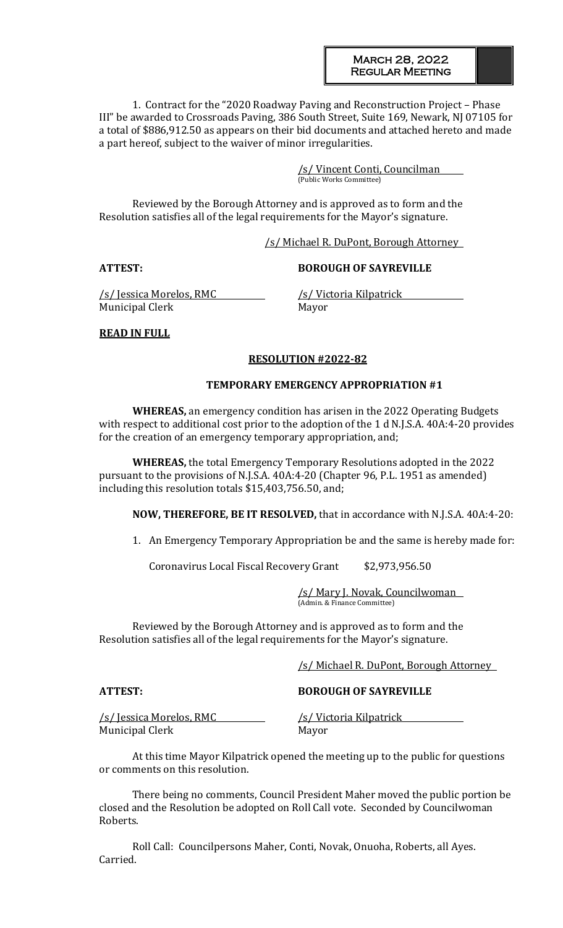#### March 28, 2022 Regular Meeting

1. Contract for the "2020 Roadway Paving and Reconstruction Project – Phase III" be awarded to Crossroads Paving, 386 South Street, Suite 169, Newark, NJ 07105 for a total of \$886,912.50 as appears on their bid documents and attached hereto and made a part hereof, subject to the waiver of minor irregularities.

> /s/ Vincent Conti, Councilman (Public Works Committee)

Reviewed by the Borough Attorney and is approved as to form and the Resolution satisfies all of the legal requirements for the Mayor's signature.

#### /s/ Michael R. DuPont, Borough Attorney

#### **ATTEST: BOROUGH OF SAYREVILLE**

/s/ Jessica Morelos, RMC /s/ Victoria Kilpatrick Municipal Clerk Mayor

## **READ IN FULL**

#### **RESOLUTION #2022-82**

#### **TEMPORARY EMERGENCY APPROPRIATION #1**

**WHEREAS,** an emergency condition has arisen in the 2022 Operating Budgets with respect to additional cost prior to the adoption of the 1 d N.J.S.A. 40A:4-20 provides for the creation of an emergency temporary appropriation, and;

**WHEREAS,** the total Emergency Temporary Resolutions adopted in the 2022 pursuant to the provisions of N.J.S.A. 40A:4-20 (Chapter 96, P.L. 1951 as amended) including this resolution totals \$15,403,756.50, and;

**NOW, THEREFORE, BE IT RESOLVED,** that in accordance with N.J.S.A. 40A:4-20:

1. An Emergency Temporary Appropriation be and the same is hereby made for:

Coronavirus Local Fiscal Recovery Grant \$2,973,956.50

/s/ Mary J. Novak, Councilwoman (Admin. & Finance Committee)

Reviewed by the Borough Attorney and is approved as to form and the Resolution satisfies all of the legal requirements for the Mayor's signature.

#### /s/ Michael R. DuPont, Borough Attorney

**ATTEST: BOROUGH OF SAYREVILLE**

/s/ Jessica Morelos, RMC /s/ Victoria Kilpatrick Municipal Clerk Mayor

At this time Mayor Kilpatrick opened the meeting up to the public for questions or comments on this resolution.

There being no comments, Council President Maher moved the public portion be closed and the Resolution be adopted on Roll Call vote. Seconded by Councilwoman Roberts.

Roll Call: Councilpersons Maher, Conti, Novak, Onuoha, Roberts, all Ayes. Carried.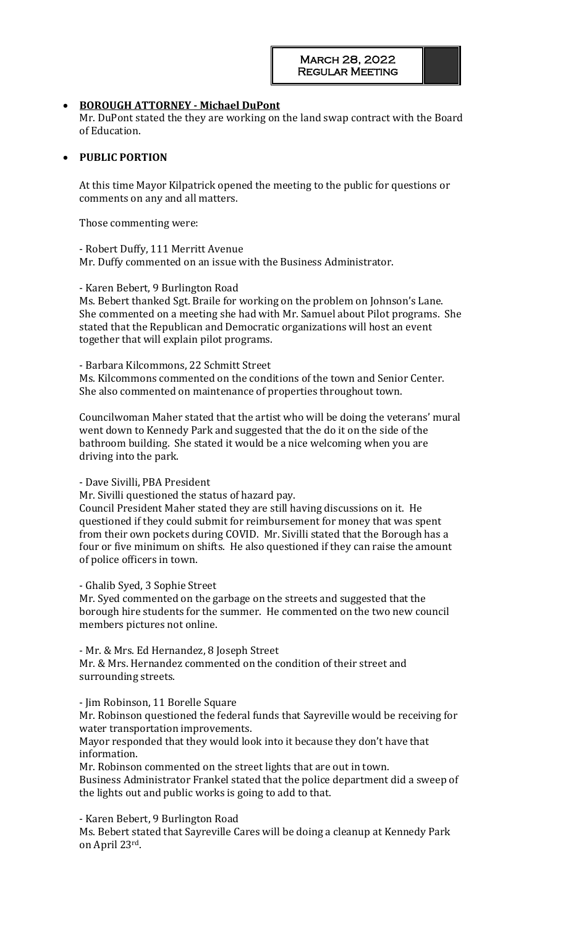## • **BOROUGH ATTORNEY - Michael DuPont**

Mr. DuPont stated the they are working on the land swap contract with the Board of Education.

### • **PUBLIC PORTION**

At this time Mayor Kilpatrick opened the meeting to the public for questions or comments on any and all matters.

Those commenting were:

- Robert Duffy, 111 Merritt Avenue Mr. Duffy commented on an issue with the Business Administrator.

- Karen Bebert, 9 Burlington Road

Ms. Bebert thanked Sgt. Braile for working on the problem on Johnson's Lane. She commented on a meeting she had with Mr. Samuel about Pilot programs. She stated that the Republican and Democratic organizations will host an event together that will explain pilot programs.

- Barbara Kilcommons, 22 Schmitt Street

Ms. Kilcommons commented on the conditions of the town and Senior Center. She also commented on maintenance of properties throughout town.

Councilwoman Maher stated that the artist who will be doing the veterans' mural went down to Kennedy Park and suggested that the do it on the side of the bathroom building. She stated it would be a nice welcoming when you are driving into the park.

#### - Dave Sivilli, PBA President

Mr. Sivilli questioned the status of hazard pay.

Council President Maher stated they are still having discussions on it. He questioned if they could submit for reimbursement for money that was spent from their own pockets during COVID. Mr. Sivilli stated that the Borough has a four or five minimum on shifts. He also questioned if they can raise the amount of police officers in town.

#### - Ghalib Syed, 3 Sophie Street

Mr. Syed commented on the garbage on the streets and suggested that the borough hire students for the summer. He commented on the two new council members pictures not online.

- Mr. & Mrs. Ed Hernandez, 8 Joseph Street

Mr. & Mrs. Hernandez commented on the condition of their street and surrounding streets.

- Jim Robinson, 11 Borelle Square

Mr. Robinson questioned the federal funds that Sayreville would be receiving for water transportation improvements.

Mayor responded that they would look into it because they don't have that information.

Mr. Robinson commented on the street lights that are out in town.

Business Administrator Frankel stated that the police department did a sweep of the lights out and public works is going to add to that.

- Karen Bebert, 9 Burlington Road

Ms. Bebert stated that Sayreville Cares will be doing a cleanup at Kennedy Park on April 23rd.